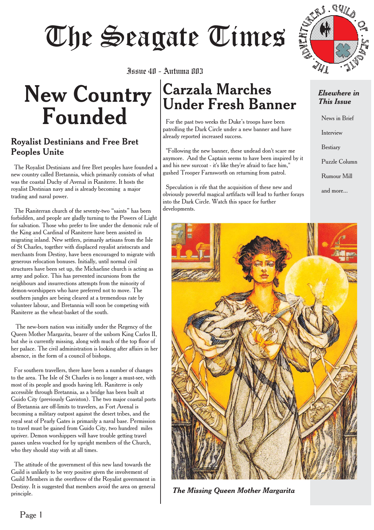# Juure 411 - Aufuma 803<br>Tuure 411 - Aufuma 803

## **New Country Founded** Issue 40 - Autuma 803

#### Royalist Destinians and Free Bret Peoples Unite

The Royalist Destinians and free Bret peoples have founded a new country called Bretannia, which primarily consists of what was the coastal Duchy of Avenal in Raniterre. It hosts the royalist Destinian navy and is already becoming a major trading and naval power.

The Raniterran church of the seventy-two "saints" has been forbidden, and people are gladly turning to the Powers of Light for salvation. Those who prefer to live under the demonic rule of the King and Cardinal of Raniterre have been assisted in migrating inland. New settlers, primarily artisans from the Isle of St Charles, together with displaced royalist aristocrats and merchants from Destiny, have been encouraged to migrate with generous relocation bonuses. Initially, until normal civil structures have been set up, the Michaeline church is acting as army and police. This has prevented incursions from the neighbours and insurrections attempts from the minority of demon-worshippers who have preferred not to move. The southern jungles are being cleared at a tremendous rate by volunteer labour, and Bretannia will soon be competing with Raniterre as the wheat-basket of the south.

The new-born nation was initially under the Regency of the Queen Mother Margarita, bearer of the unborn King Carlos II, but she is currently missing, along with much of the top floor of her palace. The civil administration is looking after affairs in her absence, in the form of a council of bishops.

For southern travellers, there have been a number of changes to the area. The Isle of St Charles is no longer a must-see, with most of its people and goods having left. Raniterre is only accessible through Bretannia, as a bridge has been built at Guido City (previously Gaviston). The two major coastal ports of Bretannia are off-limits to travelers, as Fort Avenal is becoming a military outpost against the desert tribes, and the royal seat of Pearly Gates is primarily a naval base. Permission to travel must be gained from Guido City, two hundred miles upriver. Demon worshippers will have trouble getting travel passes unless vouched for by upright members of the Church, who they should stay with at all times.

The attitude of the government of this new land towards the Guild is unlikely to be very positive given the involvement of Guild Members in the overthrow of the Royalist government in Destiny. It is suggested that members avoid the area on general principle.

## **Carzala Marches Under Fresh Banner**

For the past two weeks the Duke's troops have been patrolling the Dark Circle under a new banner and have already reported increased success.

"Following the new banner, these undead don't scare me anymore. And the Captain seems to have been inspired by it and his new surcoat - it's like they're afraid to face him," gushed Trooper Farnsworth on returning from patrol.

Speculation is rife that the acquisition of these new and obviously powerful magical artfifacts will lead to further forays into the Dark Circle. Watch this space for further developments.

*Elsewhere in This Issue*

RS. QUILO

News in Brief Interview Bestiary Puzzle Column Rumour Mill and more...



*The Missing Queen Mother Margarita*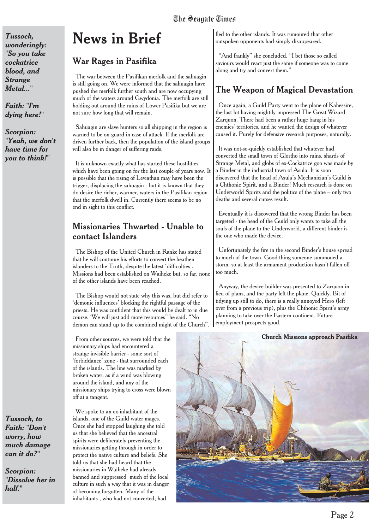*Tussock, wonderingly: "So you take cockatrice blood, and Strange Metal..."*

*Faith: "I'm dying here!"*

*Scorpion: "Yeah, we don't have time for you to think!"*

## **News in Brief**

#### War Rages in Pasifika

The war between the Pasifikan merfolk and the sahuagin is still going on. We were informed that the sahuagin have pushed the merfolk further south and are now occupying much of the waters around Gwydonia. The merfolk are still holding out around the ruins of Lower Pasifika but we are not sure how long that will remain.

Sahuagin are slave hunters so all shipping in the region is warned to be on guard in case of attack. If the merfolk are driven further back, then the population of the island groups will also be in danger of suffering raids.

It is unknown exactly what has started these hostilities which have been going on for the last couple of years now. It is possible that the rising of Leviathan may have been the trigger, displacing the sahuagin - but it is known that they do desire the richer, warmer, waters in the Pasifikan region that the merfolk dwell in. Currently there seems to be no end in sight to this conflict.

#### Missionaries Thwarted - Unable to contact Islanders

The Bishop of the United Church in Ranke has stated that he will continue his efforts to convert the heathen islanders to the Truth, despite the latest 'difficulties'. Missions had been established on Waiheke but, so far, none of the other islands have been reached.

The Bishop would not state why this was, but did refer to 'demonic influences' blocking the rightful passage of the priests. He was confident that this would be dealt to in due course. 'We will just add more resources" he said. "No demon can stand up to the combined might of the Church".

From other sources, we were told that the missionary ships had encountered a strange invisible barrier - some sort of 'forbiddance' zone - that surrounded each of the islands. The line was marked by broken water, as if a wind was blowing around the island, and any of the missionary ships trying to cross were blown off at a tangent.

*Tussock, to Faith: "Don't worry, how much damage can it do?"*

*Scorpion: "Dissolve her in half."*

We spoke to an ex-inhabitant of the islands, one of the Guild water mages. Once she had stopped laughing she told us that she believed that the ancestral spirits were deliberately preventing the missionaries getting through in order to protect the native culture and beliefs. She told us that she had heard that the missionaries in Waiheke had already banned and suppressed much of the local culture in such a way that it was in danger of becoming forgotten. Many of the inhabitants , who had not converted, had

fled to the other islands. It was rumoured that other outspoken opponents had simply disappeared.

"And frankly" she concluded. "I bet those so called saviours would react just the same if someone was to come along and try and convert them."

#### The Weapon of Magical Devastation

Once again, a Guild Party went to the plane of Kahessire, the last lot having mightily impressed The Great Wizard Zarquon. There had been a rather huge bang in his enemies' territories, and he wanted the design of whatever caused it. Purely for defensive research purposes, naturally.

It was not-so-quickly established that whatever had converted the small town of Glortho into ruins, shards of Strange Metal, and globs of ex-Cockatrice goo was made by a Binder in the industrial town of Asula. It is soon discovered that the head of Asula's Mechanician's Guild is a Chthonic Spirit, and a Binder! Much research is done on Underworld Spirits and the politics of the plane – only two deaths and several curses result.

Eventually it is discovered that the wrong Binder has been targeted - the head of the Guild only wants to take all the souls of the plane to the Underworld, a different binder is the one who made the device.

Unfortunately the fire in the second Binder's house spread to much of the town. Good thing someone summoned a storm, so at least the armament production hasn't fallen off too much.

Anyway, the device-builder was presented to Zarquon in lieu of plans, and the party left the plane. Quickly. Bit of tidying up still to do, there is a really annoyed Hero (left over from a previous trip), plus the Chthonic Spirit's army planning to take over the Eastern continent. Future employment prospects good.

#### **Church Missions approach Pasifika**

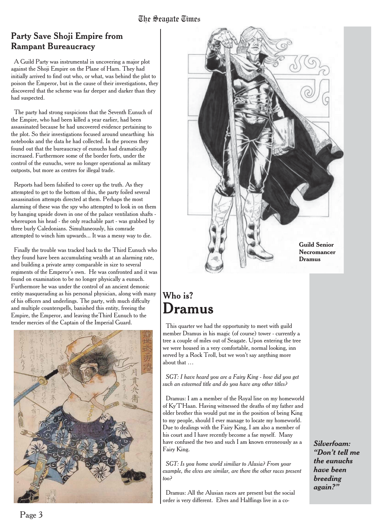#### Party Save Shoji Empire from Rampant Bureaucracy

A Guild Party was instrumental in uncovering a major plot against the Shoji Empire on the Plane of Harn. They had initially arrived to find out who, or what, was behind the plot to poison the Emperor, but in the cause of their investigations, they discovered that the scheme was far deeper and darker than they had suspected.

The party had strong suspicions that the Seventh Eunuch of the Empire, who had been killed a year earlier, had been assassinated because he had uncovered evidence pertaining to the plot. So their investigations focused around unearthing his notebooks and the data he had collected. In the process they found out that the bureaucracy of eunuchs had dramatically increased. Furthermore some of the border forts, under the control of the eunuchs, were no longer operational as military outposts, but more as centres for illegal trade.

Reports had been falsified to cover up the truth. As they attempted to get to the bottom of this, the party foiled several assassination attempts directed at them. Perhaps the most alarming of these was the spy who attempted to look in on them by hanging upside down in one of the palace ventilation shafts whereupon his head - the only reachable part - was grabbed by three burly Caledonians. Simultaneously, his comrade attempted to winch him upwards... It was a messy way to die.

Finally the trouble was tracked back to the Third Eunuch who they found have been accumulating wealth at an alarming rate, and building a private army comparable in size to several regiments of the Emperor's own. He was confronted and it was found on examination to be no longer physically a eunuch. Furthermore he was under the control of an ancient demonic entity masquerading as his personal physician, along with many of his officers and underlings. The party, with much diffculty and multiple counterspells, banished this entity, freeing the Empire, the Emperor, and leaving theThird Eunuch to the tender mercies of the Captain of the Imperial Guard.





### Who is? **Dramus**

This quarter we had the opportunity to meet with guild member Dramus in his magic (of course) tower - currently a tree a couple of miles out of Seagate. Upon entering the tree we were housed in a very comfortable, normal looking, inn served by a Rock Troll, but we won't say anything more about that …

*SGT: I have heard you are a Fairy King - how did you get such an esteemed title and do you have any other titles?*

Dramus: I am a member of the Royal line on my homeworld of Ky'T'Haan. Having witnessed the deaths of my father and older brother this would put me in the position of being King to my people, should I ever manage to locate my homeworld. Due to dealings with the Fairy King, I am also a member of his court and I have recently become a fae myself. Many have confused the two and such I am known erroneously as a Fairy King.

*SGT: Is you home world similiar to Alusia? From your example, the elves are similar, are there the other races present too?*

Dramus: All the Alusian races are present but the social order is very different. Elves and Halflings live in a co*Silverfoam: "Don't tell me the eunuchs have been breeding again?"*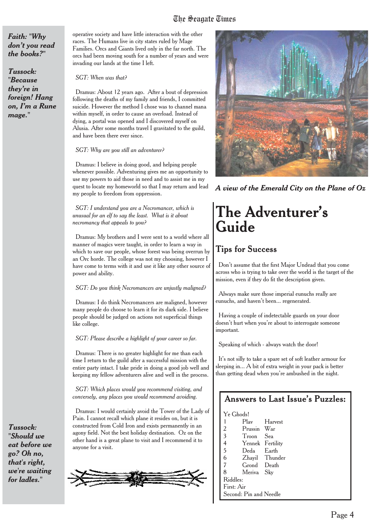## The Seagate Times

*Faith: "Why don't you read the books?"*

*Tussock: "Because they're in foreign! Hang on, I'm a Rune mage."*

operative society and have little interaction with the other races. The Humans live in city states ruled by Mage Families. Orcs and Giants lived only in the far north. The orcs had been moving south for a number of years and were invading our lands at the time I left.

*SGT: When was that?*

Dramus: About 12 years ago. After a bout of depression following the deaths of my family and friends, I committed suicide. However the method I chose was to channel mana within myself, in order to cause an overload. Instead of dying, a portal was opened and I discovered myself on Alusia. After some months travel I gravitated to the guild, and have been there ever since.

#### *SGT: Why are you still an adventurer?*

Dramus: I believe in doing good, and helping people whenever possible. Adventuring gives me an opportunity to use my powers to aid those in need and to assist me in my quest to locate my homeworld so that I may return and lead my people to freedom from oppression.

*SGT: I understand you are a Necromancer, which is unusual for an elf to say the least. What is it about necromancy that appeals to you?*

Dramus: My brothers and I were sent to a world where all manner of magics were taught, in order to learn a way in which to save our people, whose forest was being overrun by an Orc horde. The college was not my choosing, however I have come to terms with it and use it like any other source of power and ability.

#### *SGT: Do you think Necromancers are unjustly maligned?*

Dramus: I do think Necromancers are maligned, however many people do choose to learn it for its dark side. I believe people should be judged on actions not superficial things like college.

#### *SGT: Please describe a highlight of your career so far.*

Dramus: There is no greater highlight for me than each time I return to the guild after a successful mission with the entire party intact. I take pride in doing a good job well and keeping my fellow adventurers alive and well in the process.

*SGT: Which places would you recommend visiting, and conversely, any places you would recommend avoiding.*

Dramus: I would certainly avoid the Tower of the Lady of Pain. I cannot recall which plane it resides on, but it is constructed from Cold Iron and exists permanently in an agony field. Not the best holiday destination. Oz on the other hand is a great plane to visit and I recommend it to anyone for a visit.





*A view of the Emerald City on the Plane of Oz*

## **The Adventurer's Guide**

#### **Tips for Success**

Don't assume that the first Major Undead that you come across who is trying to take over the world is the target of the mission, even if they do fit the description given.

Always make sure those imperial eunuchs really are eunuchs, and haven't been... regenerated.

Having a couple of indetectable guards on your door doesn't hurt when you're about to interrogate someone important.

Speaking of which - always watch the door!

It's not silly to take a spare set of soft leather armour for sleeping in... A bit of extra weight in your pack is better than getting dead when you're ambushed in the night.

#### Answers to Last Issue's Puzzles:

| Ye Ghods!               |             |           |  |  |
|-------------------------|-------------|-----------|--|--|
| 1                       | Plav        | Harvest   |  |  |
| 2                       | Prussin     | War       |  |  |
| $\overline{\mathbf{3}}$ | Troon       | Sea       |  |  |
| 4                       | Yennek      | Fertility |  |  |
| 5                       | Deda        | Earth     |  |  |
| 6                       | Zhavil      | Thunder   |  |  |
| 7                       | Grond Death |           |  |  |
| 8                       | Meriva Sky  |           |  |  |
| Riddles:                |             |           |  |  |
| First: Air              |             |           |  |  |
| Second: Pin and Needle  |             |           |  |  |

*Tussock: "Should we eat before we go? Oh no, that's right, we're waiting for ladles."*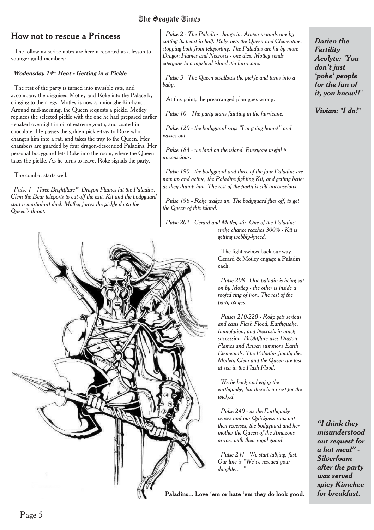## The Seagate Times

#### How not to rescue a Princess

The following scribe notes are herein reported as a lesson to younger guild members:

#### *Wodensday 14th Heat - Getting in a Pickle*

The rest of the party is turned into invisible rats, and accompany the disguised Motley and Roke into the Palace by clinging to their legs. Motley is now a junior gherkin-hand. Around mid-morning, the Queen requests a pickle. Motley replaces the selected pickle with the one he had prepared earlier - soaked overnight in oil of extreme youth, and coated in chocolate. He passes the golden pickle-tray to Roke who changes him into a rat, and takes the tray to the Queen. Her chambers are guarded by four dragon-descended Paladins. Her personal bodyguard lets Roke into the room, where the Queen takes the pickle. As he turns to leave, Roke signals the party.

The combat starts well.

*Pulse 1 - Three Brightflare™ Dragon Flames hit the Paladins. Clem the Bear teleports to cut off the exit. Kit and the bodyguard start a martial-art duel. Motley forces the pickle down the Queen's throat.*



*Pulse 2 - The Paladins charge in. Arwen wounds one by cutting its heart in half. Roke nets the Queen and Clementine, stopping both from teleporting. The Paladins are hit by more Dragon Flames and Necrosis - one dies. Motley sends everyone to a mystical island via hurricane.*

*Pulse 3 - The Queen swallows the pickle and turns into a baby.*

At this point, the prearranged plan goes wrong.

*Pulse 10 - The party starts fainting in the hurricane.*

*Pulse 120 - the bodyguard says "I'm going home!" and passes out.*

*Pulse 183 - we land on the island. Everyone useful is unconscious.*

*Pulse 190 - the bodyguard and three of the four Paladins are now up and active, the Paladins fighting Kit, and getting better as they thump him. The rest of the party is still unconscious.*

*Pulse 196 - Roke wakes up. The bodyguard flies off, to get the Queen of this island.*

*Pulse 202 - Gerard and Motley stir. One of the Paladins' strike chance reaches 300% - Kit is getting wobbly-kneed.*

> The fight swings back our way. Gerard & Motley engage a Paladin each.

*Pulse 208 - One paladin is being sat on by Motley - the other is inside a roofed ring of iron. The rest of the party wakes.*

*Pulses 210-220 - Roke gets serious and casts Flash Flood, Earthquake, Immolation, and Necrosis in quick succession. Brightflare uses Dragon Flames and Arwen summons Earth Elementals. The Paladins finally die. Motley, Clem and the Queen are lost at sea in the Flash Flood.*

*We lie back and enjoy the earthquake, but there is no rest for the wicked.*

*Pulse 240 - as the Earthquake ceases and our Quickness runs out then reverses, the bodyguard and her mother the Queen of the Amazons arrive, with their royal guard.*

*Pulse 241 - We start talking, fast. Our line is "We've rescued your daughter…"*

**Paladins... Love 'em or hate 'em they do look good.** *for breakfast.*

*Darien the Fertility Acolyte: "You don't just 'poke' people for the fun of it, you know!!"*

*Vivian: "I do!"*

*"I think they misunderstood our request for a hot meal" - Silverfoam after the party was served spicy Kimchee*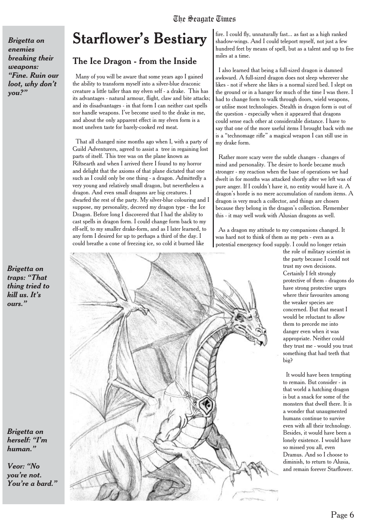## The Seagate Times

*Brigetta on enemies breaking their weapons: "Fine. Ruin our loot, why don't you?"*

*Brigetta on traps: "That thing tried to kill us. It's ours."*

*Brigetta on herself: "I'm human."*

*Veor: "No you're not. You're a bard."*

## **Starflower's Bestiary**

#### The Ice Dragon - from the Inside

Many of you will be aware that some years ago I gained the ability to transform myself into a silver-blue draconic creature a little taller than my elven self - a drake. This has its advantages - natural armour, flight, claw and bite attacks; and its disadvantages - in that form I can neither cast spells nor handle weapons. I've become used to the drake in me, and about the only apparent effect in my elven form is a most unelven taste for barely-cooked red meat.

That all changed nine months ago when I, with a party of Guild Adventurers, agreed to assist a tree in regaining lost parts of itself. This tree was on the plane known as Riftsearth and when I arrived there I found to my horror and delight that the axioms of that plane dictated that one such as I could only be one thing - a dragon. Admittedly a very young and relatively small dragon, but nevertheless a dragon. And even small dragons are big creatures. I dwarfed the rest of the party. My silver-blue colouring and I suppose, my personality, decreed my dragon type - the Ice Dragon. Before long I discovered that I had the ability to cast spells in dragon form. I could change form back to my elf-self, to my smaller drake-form, and as I later learned, to any form I desired for up to perhaps a third of the day. I could breathe a cone of freezing ice, so cold it burned like



fire. I could fly, unnaturally fast... as fast as a high ranked shadow-wings. And I could teleport myself, not just a few hundred feet by means of spell, but as a talent and up to five miles at a time.

I also learned that being a full-sized dragon is damned awkward. A full-sized dragon does not sleep wherever she likes - not if where she likes is a normal sized bed. I slept on the ground or in a hanger for much of the time I was there. I had to change form to walk through doors, wield weapons, or utilise most technologies. Stealth in dragon form is out of the question - especially when it appeared that dragons could sense each other at considerable distance. I have to say that one of the more useful items I brought back with me is a "technomage rifle" a magical weapon I can still use in my drake form.

Rather more scary were the subtle changes - changes of mind and personality. The desire to horde became much stronger - my reaction when the base of operations we had dwelt in for months was attacked shortly after we left was of pure anger. If I couldn't have it, no entity would have it. A dragon's horde is no mere accumulation of random items. A dragon is very much a collector, and things are chosen because they belong in the dragon's collection. Remember this - it may well work with Alusian dragons as well.

As a dragon my attitude to my companions changed. It was hard not to think of them as my pets - even as a potential emergency food supply. I could no longer retain

the role of military scientist in the party because I could not trust my own decisions. Certainly I felt strongly protective of them - dragons do have strong protective urges where their favourites among the weaker species are concerned. But that meant I would be reluctant to allow them to precede me into danger even when it was appropriate. Neither could they trust me - would you trust something that had teeth that big?

It would have been tempting to remain. But consider - in that world a hatching dragon is but a snack for some of the monsters that dwell there. It is a wonder that unaugmented humans continue to survive even with all their technology. Besides, it would have been a lonely existence. I would have so missed you all, even Dramus. And so I choose to diminish, to return to Alusia, and remain forever Starflower.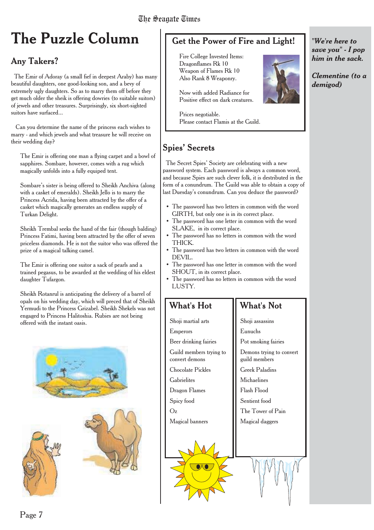## **The Puzzle Column**

#### Any Takers?

The Emir of Adoray (a small fief in deepest Araby) has many beautiful daughters, one good-looking son, and a bevy of extremely ugly daughters. So as to marry them off before they get much older the sheik is offering dowries (to suitable suitors) of jewels and other treasures. Surprisingly, six short-sighted suitors have surfaced...

Can you determine the name of the princess each wishes to marry - and which jewels and what treasure he will receive on their wedding day?

The Emir is offering one man a flying carpet and a bowl of sapphires. Sombare, however, comes with a rug which magically unfolds into a fully equiped tent.

Sombare's sister is being offered to Sheikh Anchiva (along with a casket of emeralds). Sheikh Jello is to marry the Princess Acrida, having been attracted by the offer of a casket which magically generates an endless supply of Turkan Delight.

Sheikh Trembal seeks the hand of the fair (though balding) Princess Fatimi, having been attracted by the offer of seven priceless diamonds. He is not the suitor who was offered the prize of a magical talking camel.

The Emir is offering one suitor a sack of pearls and a trained pegasus, to be awarded at the wedding of his eldest daughter Tufargon.

Sheikh Rotanrul is anticipating the delivery of a barrel of opals on his wedding day, which will preced that of Sheikh Yermudi to the Princess Grizabel. Sheikh Shekels was not engaged to Princess Halitoshia. Rubies are not being offered with the instant oasis.





#### Get the Power of Fire and Light!

Fire College Invested Items: Dragonflames Rk 10 Weapon of Flames Rk 10 Also Rank 8 Weaponry.

Now with added Radiance for Positive effect on dark creatures.

Prices negotiable. Please contact Flamis at the Guild.

#### Spies' Secrets

The Secret Spies' Society are celebrating with a new password system. Each password is always a common word, and because Spies are such clever folk, it is destributed in the form of a conundrum. The Guild was able to obtain a copy of last Duesday's conundrum. Can you deduce the password?

- The password has two letters in common with the word GIRTH, but only one is in its correct place.
- The password has one letter in common with the word SLAKE, in its correct place.
- The password has no letters in common with the word THICK.
- The password has two letters in common with the word DEVIL.
- The password has one letter in common with the word SHOUT, in its correct place.
- The password has no letters in common with the word LUSTY.

#### What's Hot

#### What's Not

Shoji martial arts Emperors Beer drinking fairies Guild members trying to convert demons Chocolate Pickles **Gabrielites** Dragon Flames Spicy food Oz Magical banners Shoji assassins Eunuchs Pot smoking fairies Demons trying to convert guild members Greek Paladins **Michaelines** Flash Flood Sentient food The Tower of Pain Magical daggers

*"We're here to save you" - I pop him in the sack.*

*Clementine (to a demigod)*